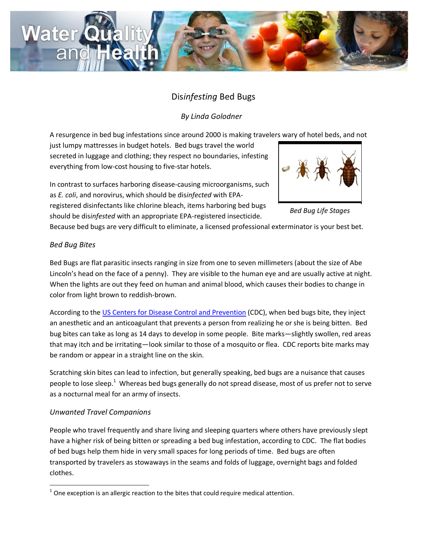

# Dis*infesting* Bed Bugs

*By Linda Golodner*

A resurgence in bed bug infestations since around 2000 is making travelers wary of hotel beds, and not

just lumpy mattresses in budget hotels. Bed bugs travel the world secreted in luggage and clothing; they respect no boundaries, infesting everything from low-cost housing to five-star hotels.

In contrast to surfaces harboring disease-causing microorganisms, such as *E. coli*, and norovirus, which should be dis*infected* with EPA-

registered disinfectants like chlorine bleach, items harboring bed bugs should be dis*infested* with an appropriate EPA-registered insecticide.



*Bed Bug Life Stages*

Because bed bugs are very difficult to eliminate, a licensed professional exterminator is your best bet.

## *Bed Bug Bites*

Bed Bugs are flat parasitic insects ranging in size from one to seven millimeters (about the size of Abe Lincoln's head on the face of a penny). They are visible to the human eye and are usually active at night. When the lights are out they feed on human and animal blood, which causes their bodies to change in color from light brown to reddish-brown.

According to the [US Centers for Disease Control and Prevention](http://www.cdc.gov/parasites/bedbugs/faqs.html) (CDC), when bed bugs bite, they inject an anesthetic and an anticoagulant that prevents a person from realizing he or she is being bitten. Bed bug bites can take as long as 14 days to develop in some people. Bite marks—slightly swollen, red areas that may itch and be irritating—look similar to those of a mosquito or flea. CDC reports bite marks may be random or appear in a straight line on the skin.

Scratching skin bites can lead to infection, but generally speaking, bed bugs are a nuisance that causes people to lose sleep.<sup>1</sup> Whereas bed bugs generally do not spread disease, most of us prefer not to serve as a nocturnal meal for an army of insects.

## *Unwanted Travel Companions*

People who travel frequently and share living and sleeping quarters where others have previously slept have a higher risk of being bitten or spreading a bed bug infestation, according to CDC. The flat bodies of bed bugs help them hide in very small spaces for long periods of time. Bed bugs are often transported by travelers as stowaways in the seams and folds of luggage, overnight bags and folded clothes.

 $\overline{\phantom{a}}$  $1$  One exception is an allergic reaction to the bites that could require medical attention.